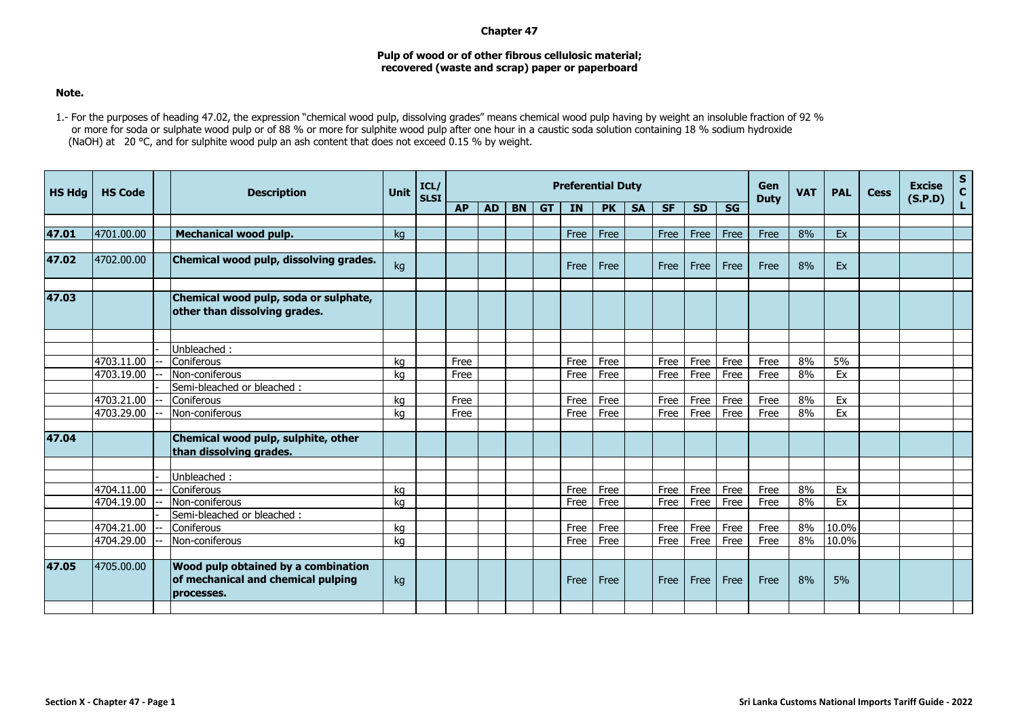## **Chapter 47**

## **Pulp of wood or of other fibrous cellulosic material; recovered (waste and scrap) paper or paperboard**

## **Note.**

1.- For the purposes of heading 47.02, the expression "chemical wood pulp, dissolving grades" means chemical wood pulp having by weight an insoluble fraction of 92 % or more for soda or sulphate wood pulp or of 88 % or more for sulphite wood pulp after one hour in a caustic soda solution containing 18 % sodium hydroxide (NaOH) at 20 °C, and for sulphite wood pulp an ash content that does not exceed 0.15 % by weight.

| <b>HS Hda</b> | <b>HS Code</b> | <b>Description</b>                                                                      | <b>Unit</b> | ICL/<br><b>SLSI</b> | <b>Preferential Duty</b> |           |           |           |           |           |           |           |           |           |             | <b>VAT</b> | <b>PAL</b> | <b>Cess</b> | <b>Excise</b><br>(S.P.D) | $\mathbf{s}$<br>$\mathbf{C}$ |
|---------------|----------------|-----------------------------------------------------------------------------------------|-------------|---------------------|--------------------------|-----------|-----------|-----------|-----------|-----------|-----------|-----------|-----------|-----------|-------------|------------|------------|-------------|--------------------------|------------------------------|
|               |                |                                                                                         |             |                     | <b>AP</b>                | <b>AD</b> | <b>BN</b> | <b>GT</b> | <b>IN</b> | <b>PK</b> | <b>SA</b> | <b>SF</b> | <b>SD</b> | <b>SG</b> | <b>Duty</b> |            |            |             |                          | L.                           |
|               |                |                                                                                         |             |                     |                          |           |           |           |           |           |           |           |           |           |             |            |            |             |                          |                              |
| 47.01         | 4701.00.00     | Mechanical wood pulp.                                                                   | ka          |                     |                          |           |           |           | Free      | Free      |           | Free      | Free      | Free      | Free        | 8%         | Ex         |             |                          |                              |
|               |                |                                                                                         |             |                     |                          |           |           |           |           |           |           |           |           |           |             |            |            |             |                          |                              |
| 47.02         | 4702.00.00     | Chemical wood pulp, dissolving grades.                                                  | kg          |                     |                          |           |           |           | Free      | Free      |           | Free      | Free      | Free      | Free        | 8%         | Ex         |             |                          |                              |
| 47.03         |                | Chemical wood pulp, soda or sulphate,<br>other than dissolving grades.                  |             |                     |                          |           |           |           |           |           |           |           |           |           |             |            |            |             |                          |                              |
|               |                |                                                                                         |             |                     |                          |           |           |           |           |           |           |           |           |           |             |            |            |             |                          |                              |
|               |                | Jnbleached:                                                                             |             |                     |                          |           |           |           |           |           |           |           |           |           |             |            |            |             |                          |                              |
|               | 4703.11.00     | Coniferous                                                                              | ka          |                     | Free                     |           |           |           | Free      | Free      |           | Free      | Free      | Free      | Free        | 8%         | 5%         |             |                          |                              |
|               | 4703.19.00     | Non-coniferous                                                                          | kg          |                     | Free                     |           |           |           | Free      | Free      |           | Free      | Free      | Free      | Free        | 8%         | Ex         |             |                          |                              |
|               |                | Semi-bleached or bleached :                                                             |             |                     |                          |           |           |           |           |           |           |           |           |           |             |            |            |             |                          |                              |
|               | 4703.21.00     | Coniferous                                                                              | kg          |                     | Free                     |           |           |           | Free      | Free      |           | Free      | Free      | Free      | Free        | 8%         | Ex         |             |                          |                              |
|               | 4703.29.00     | Non-coniferous                                                                          | kg          |                     | Free                     |           |           |           | Free      | Free      |           | Free      | Free      | Free      | Free        | 8%         | Ex         |             |                          |                              |
| 47.04         |                | Chemical wood pulp, sulphite, other<br>than dissolving grades.                          |             |                     |                          |           |           |           |           |           |           |           |           |           |             |            |            |             |                          |                              |
|               |                | Unbleached:                                                                             |             |                     |                          |           |           |           |           |           |           |           |           |           |             |            |            |             |                          |                              |
|               | 4704.11.00     | Coniferous                                                                              | kg          |                     |                          |           |           |           | Free      | Free      |           | Free      | Free      | Free      | Free        | 8%         | Ex         |             |                          |                              |
|               | 4704.19.00     | Non-coniferous                                                                          | kg          |                     |                          |           |           |           | Free      | Free      |           | Free      | Free      | Free      | Free        | 8%         | Ex         |             |                          |                              |
|               |                | Semi-bleached or bleached:                                                              |             |                     |                          |           |           |           |           |           |           |           |           |           |             |            |            |             |                          |                              |
|               | 4704.21.00     | Coniferous                                                                              | kg          |                     |                          |           |           |           | Free      | Free      |           | Free      | Free      | Free      | Free        | 8%         | 10.0%      |             |                          |                              |
|               | 4704.29.00     | Non-coniferous                                                                          | kg          |                     |                          |           |           |           | Free      | Free      |           | Free      | Free      | Free      | Free        | 8%         | 10.0%      |             |                          |                              |
|               |                |                                                                                         |             |                     |                          |           |           |           |           |           |           |           |           |           |             |            |            |             |                          |                              |
| 47.05         | 4705.00.00     | Wood pulp obtained by a combination<br>of mechanical and chemical pulping<br>processes. | kg          |                     |                          |           |           |           | Free      | Free      |           | Free      | Free      | Free      | Free        | 8%         | 5%         |             |                          |                              |
|               |                |                                                                                         |             |                     |                          |           |           |           |           |           |           |           |           |           |             |            |            |             |                          |                              |